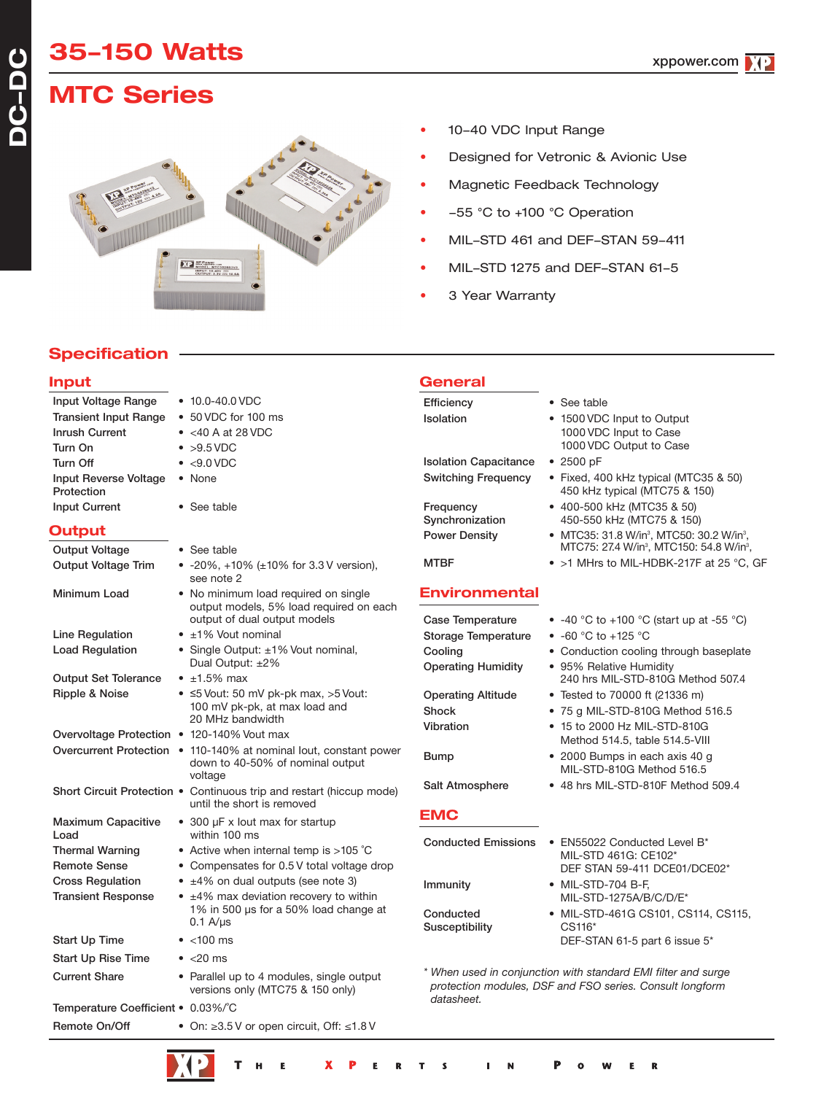# **MTC Series**



- 10-40 VDC Input Range
- Designed for Vetronic & Avionic Use
- Magnetic Feedback Technology
- -55 °C to +100 °C Operation
- MIL-STD 461 and DEF-STAN 59-411
- MIL-STD 1275 and DEF-STAN 61-5
- 3 Year Warranty

**General**

## **Specification**

## **Input**

**DC-DC**

| Input Voltage Range                 | $\bullet$ 10.0-40.0 VDC                                                                                       | Efficiency                   | • See table                                                                                                               |
|-------------------------------------|---------------------------------------------------------------------------------------------------------------|------------------------------|---------------------------------------------------------------------------------------------------------------------------|
| <b>Transient Input Range</b>        | • 50 VDC for 100 ms                                                                                           | Isolation                    | • 1500 VDC Input to Output                                                                                                |
| <b>Inrush Current</b>               | $\bullet$ <40 A at 28 VDC                                                                                     |                              | 1000 VDC Input to Case                                                                                                    |
| Turn On                             | $\bullet$ >9.5 VDC                                                                                            |                              | 1000 VDC Output to Case                                                                                                   |
| Turn Off                            | $\bullet$ <9.0 VDC                                                                                            | <b>Isolation Capacitance</b> | • 2500 pF                                                                                                                 |
| Input Reverse Voltage<br>Protection | • None                                                                                                        | <b>Switching Frequency</b>   | • Fixed, 400 kHz typical (MTC35 & 50)<br>450 kHz typical (MTC75 & 150)                                                    |
| <b>Input Current</b>                | • See table                                                                                                   | Frequency<br>Synchronization | • 400-500 kHz (MTC35 & 50)<br>450-550 kHz (MTC75 & 150)                                                                   |
| Output                              |                                                                                                               | <b>Power Density</b>         | • MTC35: 31.8 W/in <sup>3</sup> , MTC50: 30.2 W/in <sup>3</sup> ,                                                         |
| <b>Output Voltage</b>               | • See table                                                                                                   |                              | MTC75: 27.4 W/in <sup>3</sup> , MTC150: 54.8 W/in <sup>3</sup> ,                                                          |
| <b>Output Voltage Trim</b>          | • -20%, +10% (±10% for 3.3 V version),<br>see note 2                                                          | <b>MTBF</b>                  | • >1 MHrs to MIL-HDBK-217F at 25 °C, GF                                                                                   |
| Minimum Load                        | • No minimum load required on single<br>output models, 5% load required on each                               | <b>Environmental</b>         |                                                                                                                           |
|                                     | output of dual output models                                                                                  | <b>Case Temperature</b>      | • $-40$ °C to $+100$ °C (start up at $-55$ °C)                                                                            |
| Line Regulation                     | $\bullet$ ±1% Vout nominal                                                                                    | <b>Storage Temperature</b>   | • $-60$ °C to $+125$ °C                                                                                                   |
| <b>Load Regulation</b>              | • Single Output: ±1% Vout nominal,                                                                            | Cooling                      | • Conduction cooling through baseplate                                                                                    |
| <b>Output Set Tolerance</b>         | Dual Output: ±2%<br>$\bullet$ ±1.5% max                                                                       | <b>Operating Humidity</b>    | • 95% Relative Humidity<br>240 hrs MIL-STD-810G Method 507.4                                                              |
| Ripple & Noise                      | $\bullet$ ≤5 Vout: 50 mV pk-pk max, >5 Vout:                                                                  | <b>Operating Altitude</b>    | • Tested to 70000 ft (21336 m)                                                                                            |
|                                     | 100 mV pk-pk, at max load and                                                                                 | Shock                        | • 75 g MIL-STD-810G Method 516.5                                                                                          |
|                                     | 20 MHz bandwidth                                                                                              | Vibration                    | • 15 to 2000 Hz MIL-STD-810G                                                                                              |
|                                     | Overvoltage Protection • 120-140% Vout max                                                                    |                              | Method 514.5, table 514.5-VIII                                                                                            |
|                                     | Overcurrent Protection • 110-140% at nominal lout, constant power<br>down to 40-50% of nominal output         | <b>Bump</b>                  | • 2000 Bumps in each axis 40 g<br>MIL-STD-810G Method 516.5                                                               |
|                                     | voltage<br>Short Circuit Protection . Continuous trip and restart (hiccup mode)<br>until the short is removed | Salt Atmosphere              | • 48 hrs MIL-STD-810F Method 509.4                                                                                        |
|                                     |                                                                                                               | <b>EMC</b>                   |                                                                                                                           |
| <b>Maximum Capacitive</b><br>Load   | • 300 µF x lout max for startup<br>within 100 ms                                                              |                              |                                                                                                                           |
| <b>Thermal Warning</b>              | • Active when internal temp is $>105$ °C                                                                      | <b>Conducted Emissions</b>   | • EN55022 Conducted Level B*                                                                                              |
| <b>Remote Sense</b>                 | • Compensates for 0.5 V total voltage drop                                                                    |                              | MIL-STD 461G: CE102*<br>DEF STAN 59-411 DCE01/DCE02*                                                                      |
| <b>Cross Regulation</b>             | • ±4% on dual outputs (see note 3)                                                                            | Immunity                     | • MIL-STD-704 B-F,                                                                                                        |
| <b>Transient Response</b>           | • ±4% max deviation recovery to within                                                                        |                              | MIL-STD-1275A/B/C/D/E*                                                                                                    |
|                                     | 1% in 500 µs for a 50% load change at                                                                         | Conducted                    | • MIL-STD-461G CS101, CS114, CS115,                                                                                       |
|                                     | $0.1$ A/ $\mu$ s                                                                                              | Susceptibility               | CS116*                                                                                                                    |
| Start Up Time                       | $\bullet$ <100 ms                                                                                             |                              | DEF-STAN 61-5 part 6 issue 5*                                                                                             |
| <b>Start Up Rise Time</b>           | $\bullet$ <20 ms                                                                                              |                              |                                                                                                                           |
| <b>Current Share</b>                | • Parallel up to 4 modules, single output<br>versions only (MTC75 & 150 only)                                 |                              | * When used in conjunction with standard EMI filter and surge<br>protection modules, DSF and FSO series. Consult longform |
| Temperature Coefficient • 0.03%/°C  |                                                                                                               | datasheet.                   |                                                                                                                           |
| Remote On/Off                       | • On: $\geq$ 3.5 V or open circuit. Off: $\leq$ 1.8 V                                                         |                              |                                                                                                                           |
|                                     |                                                                                                               |                              |                                                                                                                           |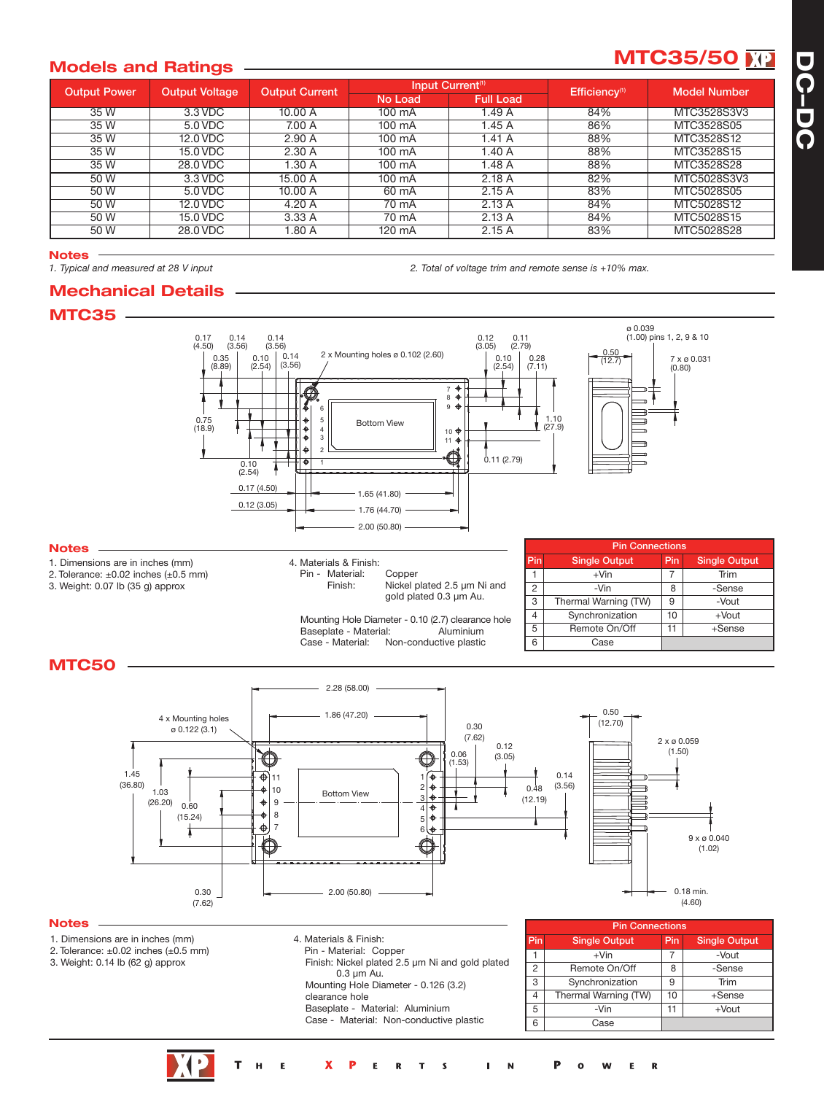# **Models** and Ratings **CONSTRUCER 2016 MTC35/50 MM**

| <b>Output Power</b> | <b>Output Voltage</b> | <b>Output Current</b> |         | Input Current <sup>(1)</sup> | Efficiency <sup>(1)</sup> | <b>Model Number</b> |  |
|---------------------|-----------------------|-----------------------|---------|------------------------------|---------------------------|---------------------|--|
|                     |                       |                       | No Load | <b>Full Load</b>             |                           |                     |  |
| 35W                 | 3.3 VDC               | 10.00 A               | 100 mA  | 1.49A                        | 84%                       | MTC3528S3V3         |  |
| 35 W                | 5.0 VDC               | 7.00 A                | 100 mA  | 1.45 A                       | 86%                       | MTC3528S05          |  |
| 35 W                | 12.0 VDC              | 2.90A                 | 100 mA  | 1.41A                        | 88%                       | MTC3528S12          |  |
| 35 W                | 15.0 VDC              | 2.30A                 | 100 mA  | 1.40A                        | 88%                       | MTC3528S15          |  |
| 35W                 | 28.0 VDC              | 1.30A                 | 100 mA  | 1.48 A                       | 88%                       | MTC3528S28          |  |
| 50 W                | 3.3 VDC               | 15.00 A               | 100 mA  | 2.18A                        | 82%                       | MTC5028S3V3         |  |
| 50 W                | 5.0 VDC               | 10.00 A               | 60 mA   | 2.15A                        | 83%                       | MTC5028S05          |  |
| 50 W                | 12.0 VDC              | 4.20 A                | 70 mA   | 2.13A                        | 84%                       | MTC5028S12          |  |
| 50 W                | 15.0 VDC              | 3.33 A                | 70 mA   | 2.13A                        | 84%                       | MTC5028S15          |  |
| 50 W                | 28.0 VDC              | .80A                  | 120 mA  | 2.15A                        | 83%                       | MTC5028S28          |  |

**Notes**<br>1. Typical and measured at 28 V input

#### 2. Total of voltage trim and remote sense is +10% max.



**Mechanical Details**





- 1. Dimensions are in inches (mm)
- 2. Tolerance: ±0.02 inches (±0.5 mm)
- 3. Weight: 0.14 lb (62 g) approx

**Notes**

- 4. Materials & Finish: Pin - Material: Copper
	- Finish: Nickel plated 2.5 µm Ni and gold plated 0.3 µm Au. Mounting Hole Diameter - 0.126 (3.2) clearance hole

Baseplate - Material: Aluminium Case - Material: Non-conductive plastic

|                | <b>Pin Connections</b> |     |                      |  |  |  |  |  |  |  |  |
|----------------|------------------------|-----|----------------------|--|--|--|--|--|--|--|--|
| Pin            | <b>Single Output</b>   | Pin | <b>Single Output</b> |  |  |  |  |  |  |  |  |
|                | $+V$ in                |     | -Vout                |  |  |  |  |  |  |  |  |
| 2              | Remote On/Off          | 8   | -Sense               |  |  |  |  |  |  |  |  |
| $\overline{3}$ | Synchronization        | 9   | Trim                 |  |  |  |  |  |  |  |  |
|                | Thermal Warning (TW)   | 10  | +Sense               |  |  |  |  |  |  |  |  |
| 5              | $+$ Vout<br>-Vin<br>11 |     |                      |  |  |  |  |  |  |  |  |
| 6              | Case                   |     |                      |  |  |  |  |  |  |  |  |

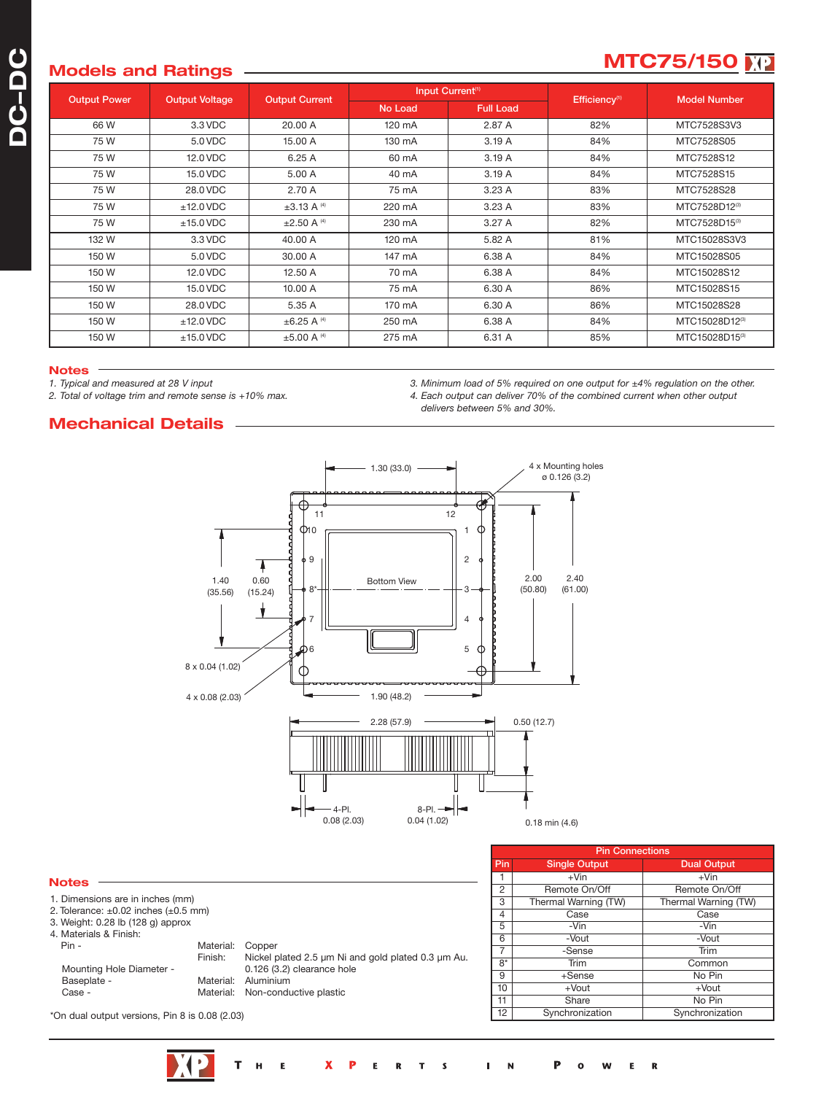# **MOdels** and Ratings <u>**over all and the models and Ratings**</u> **of the models of the models of the models of the models of the models of the models of the models of the models of the models of the models**

| <b>Output Power</b> | <b>Output Voltage</b> | <b>Output Current</b>       |         | Input Current <sup>(1)</sup> | Efficiency <sup>(1)</sup> | <b>Model Number</b> |  |
|---------------------|-----------------------|-----------------------------|---------|------------------------------|---------------------------|---------------------|--|
|                     |                       |                             | No Load | <b>Full Load</b>             |                           |                     |  |
| 66 W                | 3.3 VDC               | 20.00 A                     | 120 mA  | 2.87 A                       | 82%                       | MTC7528S3V3         |  |
| 75 W                | 5.0 VDC               | 15.00 A                     | 130 mA  | 3.19A                        | 84%                       | MTC7528S05          |  |
| 75 W                | 12.0 VDC              | 6.25A                       | 60 mA   | 3.19A                        | 84%                       | MTC7528S12          |  |
| 75 W                | 15.0 VDC              | 5.00 A                      | 40 mA   | 3.19A                        | 84%                       | MTC7528S15          |  |
| 75 W                | 28.0 VDC              | 2.70 A                      | 75 mA   | 3.23A                        | 83%                       | MTC7528S28          |  |
| 75 W                | $±12.0$ VDC           | $\pm 3.13$ A <sup>(4)</sup> | 220 mA  | 3.23A                        | 83%                       | MTC7528D12(3)       |  |
| 75 W                | $±15.0$ VDC           | $\pm 2.50$ A <sup>(4)</sup> | 230 mA  | 3.27A                        | 82%                       | MTC7528D15(3)       |  |
| 132 W               | 3.3 VDC               | 40.00 A                     | 120 mA  | 5.82 A                       | 81%                       | MTC15028S3V3        |  |
| 150 W               | 5.0 VDC               | 30.00 A                     | 147 mA  | 6.38 A                       | 84%                       | MTC15028S05         |  |
| 150 W               | 12.0 VDC              | 12.50 A                     | 70 mA   | 6.38 A                       | 84%                       | MTC15028S12         |  |
| 150 W               | 15.0 VDC              | 10.00 A                     | 75 mA   | 6.30 A                       | 86%                       | MTC15028S15         |  |
| 150 W               | 28.0 VDC              | 5.35 A                      | 170 mA  | 6.30 A                       | 86%                       | MTC15028S28         |  |
| 150 W               | $±12.0$ VDC           | $\pm 6.25$ A <sup>(4)</sup> | 250 mA  | 6.38 A                       | 84%                       | MTC15028D12(3)      |  |
| 150 W               | $±15.0$ VDC           | $±5.00$ A <sup>(4)</sup>    | 275 mA  | 6.31 A                       | 85%                       | MTC15028D15(3)      |  |

#### **Notes**

*1. Typical and measured at 28 V input*

*2. Total of voltage trim and remote sense is +10% max.*

**Mechanical Details**

*3. Minimum load of 5% required on one output for ±4% regulation on the other. 4. Each output can deliver 70% of the combined current when other output delivers between 5% and 30%.*



|                                                |                                                                                      |                                                                                            |                | <b>Pin Connections</b> |                      |  |  |  |  |
|------------------------------------------------|--------------------------------------------------------------------------------------|--------------------------------------------------------------------------------------------|----------------|------------------------|----------------------|--|--|--|--|
|                                                | 2. Tolerance: $\pm 0.02$ inches ( $\pm 0.5$ mm)<br>3. Weight: 0.28 lb (128 g) approx |                                                                                            | Pin            | <b>Single Output</b>   | <b>Dual Output</b>   |  |  |  |  |
| <b>Notes</b>                                   |                                                                                      |                                                                                            |                | $+V$ in                | $+V$ in              |  |  |  |  |
|                                                |                                                                                      |                                                                                            | $\overline{c}$ | Remote On/Off          | Remote On/Off        |  |  |  |  |
| 1. Dimensions are in inches (mm)               |                                                                                      |                                                                                            | 3              | Thermal Warning (TW)   | Thermal Warning (TW) |  |  |  |  |
|                                                |                                                                                      |                                                                                            |                | Case                   | Case                 |  |  |  |  |
|                                                |                                                                                      |                                                                                            | 5              | -Vin                   | -Vin                 |  |  |  |  |
| 4. Materials & Finish:                         |                                                                                      |                                                                                            | 6              | -Vout                  | -Vout                |  |  |  |  |
| Pin -                                          | Material:                                                                            | Copper<br>Nickel plated 2.5 µm Ni and gold plated 0.3 µm Au.<br>0.126 (3.2) clearance hole |                | -Sense                 | Trim                 |  |  |  |  |
| Mounting Hole Diameter -                       | Finish:                                                                              |                                                                                            | $8*$           | Trim                   | Common               |  |  |  |  |
| Baseplate -                                    | Material:                                                                            | Aluminium                                                                                  | 9              | +Sense                 | No Pin               |  |  |  |  |
| Case -                                         | Material: Non-conductive plastic                                                     | 10                                                                                         | +Vout          | +Vout                  |                      |  |  |  |  |
|                                                |                                                                                      |                                                                                            | 11             | Share                  | No Pin               |  |  |  |  |
| *On dual output versions, Pin 8 is 0.08 (2.03) |                                                                                      |                                                                                            | 12             | Synchronization        | Synchronization      |  |  |  |  |